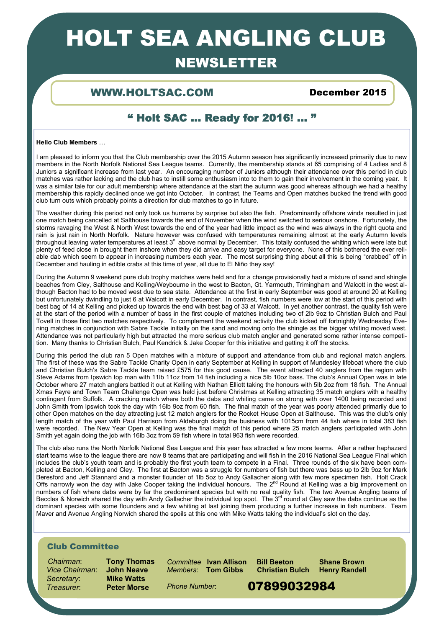# HOLT SEA ANGLING CLUB

## **NEWSLETTER**

### WWW.HOLTSAC.COM December 2015

### " Holt SAC … Ready for 2016! ... "

### **Hello Club Members** …

I am pleased to inform you that the Club membership over the 2015 Autumn season has significantly increased primarily due to new members in the North Norfolk National Sea League teams. Currently, the membership stands at 65 comprising of 4 Ladies and 8 Juniors a significant increase from last year. An encouraging number of Juniors although their attendance over this period in club matches was rather lacking and the club has to instill some enthusiasm into to them to gain their involvement in the coming year. It was a similar tale for our adult membership where attendance at the start the autumn was good whereas although we had a healthy membership this rapidly declined once we got into October. In contrast, the Teams and Open matches bucked the trend with good club turn outs which probably points a direction for club matches to go in future.

The weather during this period not only took us humans by surprise but also the fish. Predominantly offshore winds resulted in just one match being cancelled at Salthouse towards the end of November when the wind switched to serious onshore. Fortunately, the storms ravaging the West & North West towards the end of the year had little impact as the wind was always in the right quota and rain is just rain in North Norfolk. Nature however was confused with temperatures remaining almost at the early Autumn levels throughout leaving water temperatures at least 3o above normal by December. This totally confused the whiting which were late but plenty of feed close in brought them inshore when they did arrive and easy target for everyone. None of this bothered the ever reliable dab which seem to appear in increasing numbers each year. The most surprising thing about all this is being "crabbed" off in December and hauling in edible crabs at this time of year, all due to El Niño they say!

During the Autumn 9 weekend pure club trophy matches were held and for a change provisionally had a mixture of sand and shingle beaches from Cley, Salthouse and Kelling/Weybourne in the west to Bacton, Gt. Yarmouth, Trimingham and Walcott in the west although Bacton had to be moved west due to sea state. Attendance at the first in early September was good at around 20 at Kelling but unfortunately dwindling to just 6 at Walcott in early December. In contrast, fish numbers were low at the start of this period with best bag of 14 at Kelling and picked up towards the end with best bag of 33 at Walcott. In yet another contrast, the quality fish were at the start of the period with a number of bass in the first couple of matches including two of 2lb 9oz to Christian Bulch and Paul Tovell in those first two matches respectively. To complement the weekend activity the club kicked off fortnightly Wednesday Evening matches in conjunction with Sabre Tackle initially on the sand and moving onto the shingle as the bigger whiting moved west. Attendance was not particularly high but attracted the more serious club match angler and generated some rather intense competition. Many thanks to Christian Bulch, Paul Kendrick & Jake Cooper for this initiative and getting it off the stocks.

During this period the club ran 5 Open matches with a mixture of support and attendance from club and regional match anglers. The first of these was the Sabre Tackle Charity Open in early September at Kelling in support of Mundesley lifeboat where the club and Christian Bulch's Sabre Tackle team raised £575 for this good cause. The event attracted 40 anglers from the region with Steve Adams from Ipswich top man with 11lb 11oz from 14 fish including a nice 5lb 10oz bass. The club's Annual Open was in late October where 27 match anglers battled it out at Kelling with Nathan Elliott taking the honours with 5lb 2oz from 18 fish. The Annual Xmas Fayre and Town Team Challenge Open was held just before Christmas at Kelling attracting 35 match anglers with a healthy contingent from Suffolk. A cracking match where both the dabs and whiting came on strong with over 1400 being recorded and John Smith from Ipswich took the day with 16lb 9oz from 60 fish. The final match of the year was poorly attended primarily due to other Open matches on the day attracting just 12 match anglers for the Rocket House Open at Salthouse. This was the club's only length match of the year with Paul Harrison from Aldeburgh doing the business with 1015cm from 44 fish where in total 383 fish were recorded. The New Year Open at Kelling was the final match of this period where 25 match anglers participated with John Smith yet again doing the job with 16lb 3oz from 59 fish where in total 963 fish were recorded.

The club also runs the North Norfolk National Sea League and this year has attracted a few more teams. After a rather haphazard start teams wise to the league there are now 8 teams that are participating and will fish in the 2016 National Sea League Final which includes the club's youth team and is probably the first youth team to compete in a Final. Three rounds of the six have been completed at Bacton, Kelling and Cley. The first at Bacton was a struggle for numbers of fish but there was bass up to 2lb 9oz for Mark Beresford and Jeff Stannard and a monster flounder of 1lb 5oz to Andy Gallacher along with few more specimen fish. Holt Crack Offs narrowly won the day with Jake Cooper taking the individual honours. The 2<sup>nd</sup> Round at Kelling was a big improvement on numbers of fish where dabs were by far the predominant species but with no real quality fish. The two Avenue Angling teams of Beccles & Norwich shared the day with Andy Gallacher the individual top spot. The 3<sup>rd</sup> round at Cley saw the dabs continue as the dominant species with some flounders and a few whiting at last joining them producing a further increase in fish numbers. Team Maver and Avenue Angling Norwich shared the spoils at this one with Mike Watts taking the individual's slot on the day.

### Club Committee

 *Chairman*: **Tony Thomas** *Vice Chairman*: **John Neave Secretary: Treasurer:** Peter Morse Phone Number: 07899032984

*Committee* **Ivan Allison Bill Beeton Shane Brown**  *Members*: **Tom Gibbs Christian Bulch Henry Randell** 

*Phone Number*: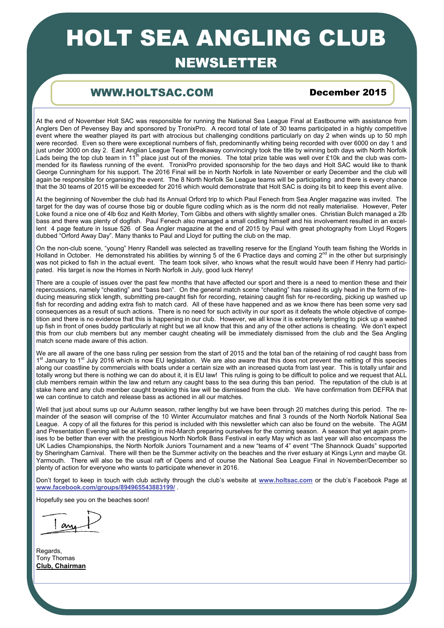# HOLT SEA ANGLING CLUB

### **NEWSLETTER**

### WWW.HOLTSAC.COM December 2015

At the end of November Holt SAC was responsible for running the National Sea League Final at Eastbourne with assistance from Anglers Den of Pevensey Bay and sponsored by TronixPro. A record total of late of 30 teams participated in a highly competitive event where the weather played its part with atrocious but challenging conditions particularly on day 2 when winds up to 50 mph were recorded. Even so there were exceptional numbers of fish, predominantly whiting being recorded with over 6000 on day 1 and just under 3000 on day 2. East Anglian League Team Breakaway convincingly took the title by winning both days with North Norfolk Lads being the top club team in  $11^{th}$  place just out of the monies. The total prize table was well over £10k and the club was commended for its flawless running of the event. TronixPro provided sponsorship for the two days and Holt SAC would like to thank George Cunningham for his support. The 2016 Final will be in North Norfolk in late November or early December and the club will again be responsible for organising the event. The 8 North Norfolk Se League teams will be participating and there is every chance that the 30 teams of 2015 will be exceeded for 2016 which would demonstrate that Holt SAC is doing its bit to keep this event alive.

At the beginning of November the club had its Annual Orford trip to which Paul Fenech from Sea Angler magazine was invited. The target for the day was of course those big or double figure codling which as is the norm did not really materialise. However, Peter Loke found a nice one of 4lb 6oz and Keith Morley, Tom Gibbs and others with slightly smaller ones. Christian Bulch managed a 2lb bass and there was plenty of dogfish. Paul Fenech also managed a small codling himself and his involvement resulted in an excellent 4 page feature in Issue 526 of Sea Angler magazine at the end of 2015 by Paul with great photography from Lloyd Rogers dubbed "Orford Away Day". Many thanks to Paul and Lloyd for putting the club on the map.

On the non-club scene, "young" Henry Randell was selected as travelling reserve for the England Youth team fishing the Worlds in Holland in October. He demonstrated his abilities by winning 5 of the 6 Practice days and coming  $2^{nd}$  in the other but surprisingly was not picked to fish in the actual event. The team took silver, who knows what the result would have been if Henry had participated. His target is now the Homes in North Norfolk in July, good luck Henry!

There are a couple of issues over the past few months that have affected our sport and there is a need to mention these and their repercussions, namely "cheating" and "bass ban". On the general match scene "cheating" has raised its ugly head in the form of reducing measuring stick length, submitting pre-caught fish for recording, retaining caught fish for re-recording, picking up washed up fish for recording and adding extra fish to match card. All of these have happened and as we know there has been some very sad consequences as a result of such actions. There is no need for such activity in our sport as it defeats the whole objective of competition and there is no evidence that this is happening in our club. However, we all know it is extremely tempting to pick up a washed up fish in front of ones buddy particularly at night but we all know that this and any of the other actions is cheating. We don't expect this from our club members but any member caught cheating will be immediately dismissed from the club and the Sea Angling match scene made aware of this action.

We are all aware of the one bass ruling per session from the start of 2015 and the total ban of the retaining of rod caught bass from 1<sup>st</sup> January to 1<sup>st</sup> July 2016 which is now EU legislation. We are also aware that this does not prevent the netting of this species along our coastline by commercials with boats under a certain size with an increased quota from last year. This is totally unfair and totally wrong but there is nothing we can do about it, it is EU law! This ruling is going to be difficult to police and we request that ALL club members remain within the law and return any caught bass to the sea during this ban period. The reputation of the club is at stake here and any club member caught breaking this law will be dismissed from the club. We have confirmation from DEFRA that we can continue to catch and release bass as actioned in all our matches.

Well that just about sums up our Autumn season, rather lengthy but we have been through 20 matches during this period. The remainder of the season will comprise of the 10 Winter Accumulator matches and final 3 rounds of the North Norfolk National Sea League. A copy of all the fixtures for this period is included with this newsletter which can also be found on the website. The AGM and Presentation Evening will be at Kelling in mid-March preparing ourselves for the coming season. A season that yet again promises to be better than ever with the prestigious North Norfolk Bass Festival in early May which as last year will also encompass the UK Ladies Championships, the North Norfolk Juniors Tournament and a new "teams of 4" event "The Shannock Quads" supported by Sheringham Carnival. There will then be the Summer activity on the beaches and the river estuary at Kings Lynn and maybe Gt. Yarmouth. There will also be the usual raft of Opens and of course the National Sea League Final in November/December so plenty of action for everyone who wants to participate whenever in 2016.

Don't forget to keep in touch with club activity through the club's website at **[www.holtsac.com](http://www.holtsac.com)** or the club's Facebook Page at **[www.facebook.com/groups/894965543883199/](http://www.facebook.com/groups/894965543883199/)** .

Hopefully see you on the beaches soon!

an

Regards, Tony Thomas **Club, Chairman**